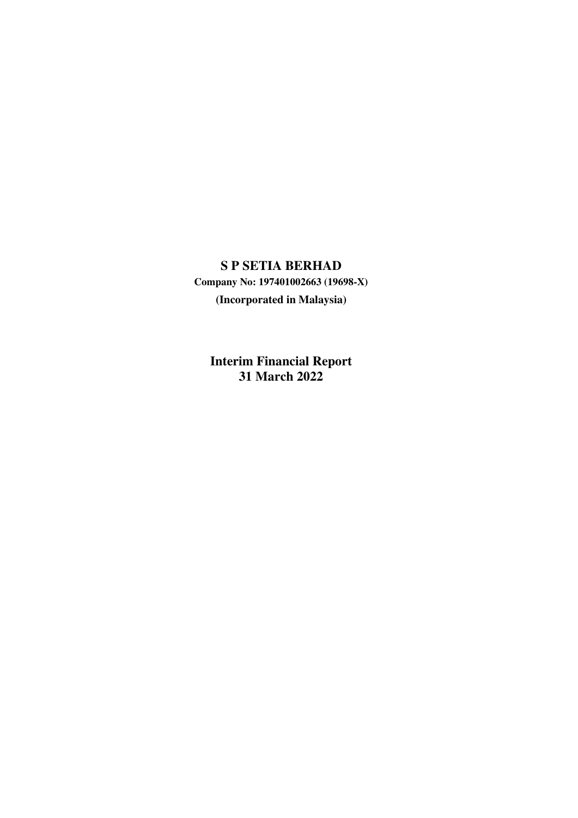# **S P SETIA BERHAD**

**Company No: 197401002663 (19698-X) (Incorporated in Malaysia)**

**Interim Financial Report 31 March 2022**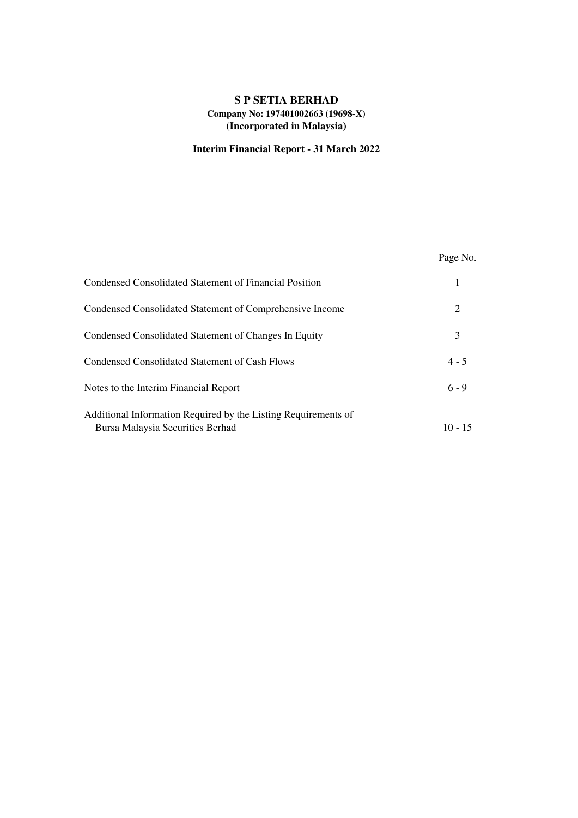# **Interim Financial Report - 31 March 2022**

|                                                                                                    | Page No.  |
|----------------------------------------------------------------------------------------------------|-----------|
| Condensed Consolidated Statement of Financial Position                                             | 1         |
| Condensed Consolidated Statement of Comprehensive Income                                           | 2         |
| Condensed Consolidated Statement of Changes In Equity                                              | 3         |
| Condensed Consolidated Statement of Cash Flows                                                     | $4 - 5$   |
| Notes to the Interim Financial Report                                                              | $6 - 9$   |
| Additional Information Required by the Listing Requirements of<br>Bursa Malaysia Securities Berhad | $10 - 15$ |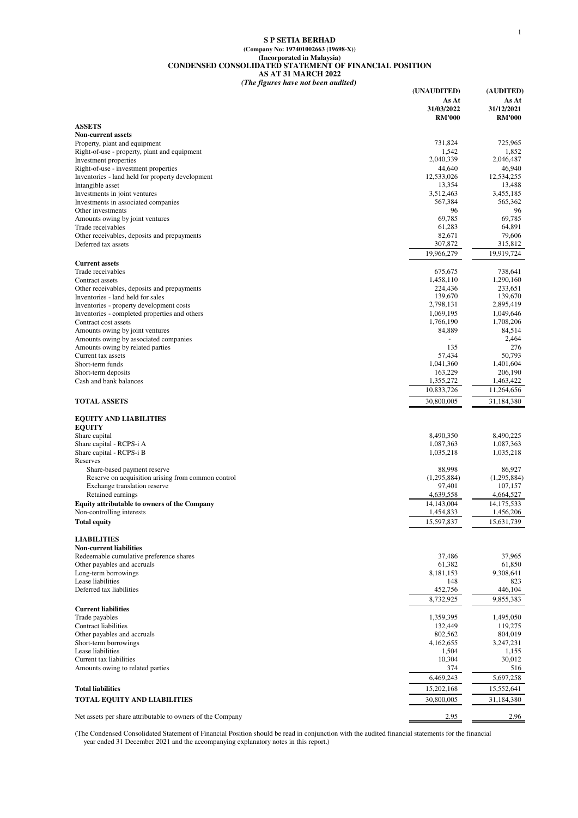#### **S P SETIA BERHAD (Company No: 197401002663 (19698-X)) (Incorporated in Malaysia) CONDENSED CONSOLIDATED STATEMENT OF FINANCIAL POSITION AS AT 31 MARCH 2022** *(The figures have not been audited)*

| As At<br>As At<br>31/12/2021<br>31/03/2022<br><b>RM'000</b><br><b>RM'000</b><br><b>ASSETS</b><br><b>Non-current assets</b><br>725,965<br>Property, plant and equipment<br>731,824<br>Right-of-use - property, plant and equipment<br>1,542<br>1,852<br>2,040,339<br>2,046,487<br>Investment properties<br>Right-of-use - investment properties<br>46,940<br>44,640<br>Inventories - land held for property development<br>12,534,255<br>12,533,026<br>13,354<br>13,488<br>Intangible asset<br>3,455,185<br>Investments in joint ventures<br>3,512,463<br>567,384<br>565,362<br>Investments in associated companies<br>96<br>96<br>Other investments<br>69,785<br>69,785<br>Amounts owing by joint ventures<br>64,891<br>61,283<br>Trade receivables<br>79,606<br>82,671<br>Other receivables, deposits and prepayments<br>307,872<br>315,812<br>Deferred tax assets<br>19,966,279<br>19,919,724<br><b>Current assets</b><br>738,641<br>Trade receivables<br>675,675<br>1,458,110<br>1,290,160<br>Contract assets<br>224,436<br>233,651<br>Other receivables, deposits and prepayments<br>139,670<br>139,670<br>Inventories - land held for sales<br>2,798,131<br>2,895,419<br>Inventories - property development costs<br>Inventories - completed properties and others<br>1,049,646<br>1.069.195<br>1,708,206<br>Contract cost assets<br>1,766,190<br>84,514<br>Amounts owing by joint ventures<br>84,889<br>Amounts owing by associated companies<br>2,464<br>٠<br>276<br>135<br>Amounts owing by related parties<br>57,434<br>50,793<br>Current tax assets<br>1,401,604<br>1,041,360<br>Short-term funds<br>163,229<br>206,190<br>Short-term deposits<br>1,355,272<br>1,463,422<br>Cash and bank balances<br>10,833,726<br>11,264,656<br><b>TOTAL ASSETS</b><br>30,800,005<br>31,184,380<br><b>EQUITY AND LIABILITIES</b><br><b>EQUITY</b><br>8,490,350<br>8,490,225<br>Share capital<br>Share capital - RCPS-i A<br>1,087,363<br>1,087,363<br>Share capital - RCPS-i B<br>1,035,218<br>1,035,218<br>Reserves<br>86,927<br>Share-based payment reserve<br>88,998<br>Reserve on acquisition arising from common control<br>(1,295,884)<br>(1,295,884)<br>Exchange translation reserve<br>97,401<br>107,157<br>Retained earnings<br>4,639,558<br>4,664,527<br><b>Equity attributable to owners of the Company</b><br>14,143,004<br>14,175,533<br>1,454,833<br>Non-controlling interests<br>1,456,206<br>15,597,837<br>15,631,739<br>Total equity<br><b>LIABILITIES</b><br><b>Non-current liabilities</b><br>Redeemable cumulative preference shares<br>37,486<br>37,965<br>Other payables and accruals<br>61,382<br>61,850<br>Long-term borrowings<br>8,181,153<br>9,308,641<br>Lease liabilities<br>823<br>148<br>Deferred tax liabilities<br>452,756<br>446,104<br>9,855,383<br>8,732,925<br><b>Current liabilities</b><br>Trade payables<br>1,359,395<br>1,495,050<br>Contract liabilities<br>132,449<br>119,275<br>Other payables and accruals<br>802,562<br>804,019<br>Short-term borrowings<br>4,162,655<br>3,247,231<br>Lease liabilities<br>1,504<br>1,155<br>Current tax liabilities<br>10,304<br>30,012<br>374<br>Amounts owing to related parties<br>516<br>6,469,243<br>5,697,258<br><b>Total liabilities</b><br>15,202,168<br>15,552,641<br><b>TOTAL EQUITY AND LIABILITIES</b><br>30,800,005<br>31,184,380<br>Net assets per share attributable to owners of the Company<br>2.95<br>2.96 | (UNAUDITED) | (AUDITED) |
|---------------------------------------------------------------------------------------------------------------------------------------------------------------------------------------------------------------------------------------------------------------------------------------------------------------------------------------------------------------------------------------------------------------------------------------------------------------------------------------------------------------------------------------------------------------------------------------------------------------------------------------------------------------------------------------------------------------------------------------------------------------------------------------------------------------------------------------------------------------------------------------------------------------------------------------------------------------------------------------------------------------------------------------------------------------------------------------------------------------------------------------------------------------------------------------------------------------------------------------------------------------------------------------------------------------------------------------------------------------------------------------------------------------------------------------------------------------------------------------------------------------------------------------------------------------------------------------------------------------------------------------------------------------------------------------------------------------------------------------------------------------------------------------------------------------------------------------------------------------------------------------------------------------------------------------------------------------------------------------------------------------------------------------------------------------------------------------------------------------------------------------------------------------------------------------------------------------------------------------------------------------------------------------------------------------------------------------------------------------------------------------------------------------------------------------------------------------------------------------------------------------------------------------------------------------------------------------------------------------------------------------------------------------------------------------------------------------------------------------------------------------------------------------------------------------------------------------------------------------------------------------------------------------------------------------------------------------------------------------------------------------------------------------------------------------------------------------------------------------------------------------------------------------------------------------------------------------------------------------------------------------------------------------------------------------------------------------------------------------------------------------------------------|-------------|-----------|
|                                                                                                                                                                                                                                                                                                                                                                                                                                                                                                                                                                                                                                                                                                                                                                                                                                                                                                                                                                                                                                                                                                                                                                                                                                                                                                                                                                                                                                                                                                                                                                                                                                                                                                                                                                                                                                                                                                                                                                                                                                                                                                                                                                                                                                                                                                                                                                                                                                                                                                                                                                                                                                                                                                                                                                                                                                                                                                                                                                                                                                                                                                                                                                                                                                                                                                                                                                                                         |             |           |
|                                                                                                                                                                                                                                                                                                                                                                                                                                                                                                                                                                                                                                                                                                                                                                                                                                                                                                                                                                                                                                                                                                                                                                                                                                                                                                                                                                                                                                                                                                                                                                                                                                                                                                                                                                                                                                                                                                                                                                                                                                                                                                                                                                                                                                                                                                                                                                                                                                                                                                                                                                                                                                                                                                                                                                                                                                                                                                                                                                                                                                                                                                                                                                                                                                                                                                                                                                                                         |             |           |
|                                                                                                                                                                                                                                                                                                                                                                                                                                                                                                                                                                                                                                                                                                                                                                                                                                                                                                                                                                                                                                                                                                                                                                                                                                                                                                                                                                                                                                                                                                                                                                                                                                                                                                                                                                                                                                                                                                                                                                                                                                                                                                                                                                                                                                                                                                                                                                                                                                                                                                                                                                                                                                                                                                                                                                                                                                                                                                                                                                                                                                                                                                                                                                                                                                                                                                                                                                                                         |             |           |
|                                                                                                                                                                                                                                                                                                                                                                                                                                                                                                                                                                                                                                                                                                                                                                                                                                                                                                                                                                                                                                                                                                                                                                                                                                                                                                                                                                                                                                                                                                                                                                                                                                                                                                                                                                                                                                                                                                                                                                                                                                                                                                                                                                                                                                                                                                                                                                                                                                                                                                                                                                                                                                                                                                                                                                                                                                                                                                                                                                                                                                                                                                                                                                                                                                                                                                                                                                                                         |             |           |
|                                                                                                                                                                                                                                                                                                                                                                                                                                                                                                                                                                                                                                                                                                                                                                                                                                                                                                                                                                                                                                                                                                                                                                                                                                                                                                                                                                                                                                                                                                                                                                                                                                                                                                                                                                                                                                                                                                                                                                                                                                                                                                                                                                                                                                                                                                                                                                                                                                                                                                                                                                                                                                                                                                                                                                                                                                                                                                                                                                                                                                                                                                                                                                                                                                                                                                                                                                                                         |             |           |
|                                                                                                                                                                                                                                                                                                                                                                                                                                                                                                                                                                                                                                                                                                                                                                                                                                                                                                                                                                                                                                                                                                                                                                                                                                                                                                                                                                                                                                                                                                                                                                                                                                                                                                                                                                                                                                                                                                                                                                                                                                                                                                                                                                                                                                                                                                                                                                                                                                                                                                                                                                                                                                                                                                                                                                                                                                                                                                                                                                                                                                                                                                                                                                                                                                                                                                                                                                                                         |             |           |
|                                                                                                                                                                                                                                                                                                                                                                                                                                                                                                                                                                                                                                                                                                                                                                                                                                                                                                                                                                                                                                                                                                                                                                                                                                                                                                                                                                                                                                                                                                                                                                                                                                                                                                                                                                                                                                                                                                                                                                                                                                                                                                                                                                                                                                                                                                                                                                                                                                                                                                                                                                                                                                                                                                                                                                                                                                                                                                                                                                                                                                                                                                                                                                                                                                                                                                                                                                                                         |             |           |
|                                                                                                                                                                                                                                                                                                                                                                                                                                                                                                                                                                                                                                                                                                                                                                                                                                                                                                                                                                                                                                                                                                                                                                                                                                                                                                                                                                                                                                                                                                                                                                                                                                                                                                                                                                                                                                                                                                                                                                                                                                                                                                                                                                                                                                                                                                                                                                                                                                                                                                                                                                                                                                                                                                                                                                                                                                                                                                                                                                                                                                                                                                                                                                                                                                                                                                                                                                                                         |             |           |
|                                                                                                                                                                                                                                                                                                                                                                                                                                                                                                                                                                                                                                                                                                                                                                                                                                                                                                                                                                                                                                                                                                                                                                                                                                                                                                                                                                                                                                                                                                                                                                                                                                                                                                                                                                                                                                                                                                                                                                                                                                                                                                                                                                                                                                                                                                                                                                                                                                                                                                                                                                                                                                                                                                                                                                                                                                                                                                                                                                                                                                                                                                                                                                                                                                                                                                                                                                                                         |             |           |
|                                                                                                                                                                                                                                                                                                                                                                                                                                                                                                                                                                                                                                                                                                                                                                                                                                                                                                                                                                                                                                                                                                                                                                                                                                                                                                                                                                                                                                                                                                                                                                                                                                                                                                                                                                                                                                                                                                                                                                                                                                                                                                                                                                                                                                                                                                                                                                                                                                                                                                                                                                                                                                                                                                                                                                                                                                                                                                                                                                                                                                                                                                                                                                                                                                                                                                                                                                                                         |             |           |
|                                                                                                                                                                                                                                                                                                                                                                                                                                                                                                                                                                                                                                                                                                                                                                                                                                                                                                                                                                                                                                                                                                                                                                                                                                                                                                                                                                                                                                                                                                                                                                                                                                                                                                                                                                                                                                                                                                                                                                                                                                                                                                                                                                                                                                                                                                                                                                                                                                                                                                                                                                                                                                                                                                                                                                                                                                                                                                                                                                                                                                                                                                                                                                                                                                                                                                                                                                                                         |             |           |
|                                                                                                                                                                                                                                                                                                                                                                                                                                                                                                                                                                                                                                                                                                                                                                                                                                                                                                                                                                                                                                                                                                                                                                                                                                                                                                                                                                                                                                                                                                                                                                                                                                                                                                                                                                                                                                                                                                                                                                                                                                                                                                                                                                                                                                                                                                                                                                                                                                                                                                                                                                                                                                                                                                                                                                                                                                                                                                                                                                                                                                                                                                                                                                                                                                                                                                                                                                                                         |             |           |
|                                                                                                                                                                                                                                                                                                                                                                                                                                                                                                                                                                                                                                                                                                                                                                                                                                                                                                                                                                                                                                                                                                                                                                                                                                                                                                                                                                                                                                                                                                                                                                                                                                                                                                                                                                                                                                                                                                                                                                                                                                                                                                                                                                                                                                                                                                                                                                                                                                                                                                                                                                                                                                                                                                                                                                                                                                                                                                                                                                                                                                                                                                                                                                                                                                                                                                                                                                                                         |             |           |
|                                                                                                                                                                                                                                                                                                                                                                                                                                                                                                                                                                                                                                                                                                                                                                                                                                                                                                                                                                                                                                                                                                                                                                                                                                                                                                                                                                                                                                                                                                                                                                                                                                                                                                                                                                                                                                                                                                                                                                                                                                                                                                                                                                                                                                                                                                                                                                                                                                                                                                                                                                                                                                                                                                                                                                                                                                                                                                                                                                                                                                                                                                                                                                                                                                                                                                                                                                                                         |             |           |
|                                                                                                                                                                                                                                                                                                                                                                                                                                                                                                                                                                                                                                                                                                                                                                                                                                                                                                                                                                                                                                                                                                                                                                                                                                                                                                                                                                                                                                                                                                                                                                                                                                                                                                                                                                                                                                                                                                                                                                                                                                                                                                                                                                                                                                                                                                                                                                                                                                                                                                                                                                                                                                                                                                                                                                                                                                                                                                                                                                                                                                                                                                                                                                                                                                                                                                                                                                                                         |             |           |
|                                                                                                                                                                                                                                                                                                                                                                                                                                                                                                                                                                                                                                                                                                                                                                                                                                                                                                                                                                                                                                                                                                                                                                                                                                                                                                                                                                                                                                                                                                                                                                                                                                                                                                                                                                                                                                                                                                                                                                                                                                                                                                                                                                                                                                                                                                                                                                                                                                                                                                                                                                                                                                                                                                                                                                                                                                                                                                                                                                                                                                                                                                                                                                                                                                                                                                                                                                                                         |             |           |
|                                                                                                                                                                                                                                                                                                                                                                                                                                                                                                                                                                                                                                                                                                                                                                                                                                                                                                                                                                                                                                                                                                                                                                                                                                                                                                                                                                                                                                                                                                                                                                                                                                                                                                                                                                                                                                                                                                                                                                                                                                                                                                                                                                                                                                                                                                                                                                                                                                                                                                                                                                                                                                                                                                                                                                                                                                                                                                                                                                                                                                                                                                                                                                                                                                                                                                                                                                                                         |             |           |
|                                                                                                                                                                                                                                                                                                                                                                                                                                                                                                                                                                                                                                                                                                                                                                                                                                                                                                                                                                                                                                                                                                                                                                                                                                                                                                                                                                                                                                                                                                                                                                                                                                                                                                                                                                                                                                                                                                                                                                                                                                                                                                                                                                                                                                                                                                                                                                                                                                                                                                                                                                                                                                                                                                                                                                                                                                                                                                                                                                                                                                                                                                                                                                                                                                                                                                                                                                                                         |             |           |
|                                                                                                                                                                                                                                                                                                                                                                                                                                                                                                                                                                                                                                                                                                                                                                                                                                                                                                                                                                                                                                                                                                                                                                                                                                                                                                                                                                                                                                                                                                                                                                                                                                                                                                                                                                                                                                                                                                                                                                                                                                                                                                                                                                                                                                                                                                                                                                                                                                                                                                                                                                                                                                                                                                                                                                                                                                                                                                                                                                                                                                                                                                                                                                                                                                                                                                                                                                                                         |             |           |
|                                                                                                                                                                                                                                                                                                                                                                                                                                                                                                                                                                                                                                                                                                                                                                                                                                                                                                                                                                                                                                                                                                                                                                                                                                                                                                                                                                                                                                                                                                                                                                                                                                                                                                                                                                                                                                                                                                                                                                                                                                                                                                                                                                                                                                                                                                                                                                                                                                                                                                                                                                                                                                                                                                                                                                                                                                                                                                                                                                                                                                                                                                                                                                                                                                                                                                                                                                                                         |             |           |
|                                                                                                                                                                                                                                                                                                                                                                                                                                                                                                                                                                                                                                                                                                                                                                                                                                                                                                                                                                                                                                                                                                                                                                                                                                                                                                                                                                                                                                                                                                                                                                                                                                                                                                                                                                                                                                                                                                                                                                                                                                                                                                                                                                                                                                                                                                                                                                                                                                                                                                                                                                                                                                                                                                                                                                                                                                                                                                                                                                                                                                                                                                                                                                                                                                                                                                                                                                                                         |             |           |
|                                                                                                                                                                                                                                                                                                                                                                                                                                                                                                                                                                                                                                                                                                                                                                                                                                                                                                                                                                                                                                                                                                                                                                                                                                                                                                                                                                                                                                                                                                                                                                                                                                                                                                                                                                                                                                                                                                                                                                                                                                                                                                                                                                                                                                                                                                                                                                                                                                                                                                                                                                                                                                                                                                                                                                                                                                                                                                                                                                                                                                                                                                                                                                                                                                                                                                                                                                                                         |             |           |
|                                                                                                                                                                                                                                                                                                                                                                                                                                                                                                                                                                                                                                                                                                                                                                                                                                                                                                                                                                                                                                                                                                                                                                                                                                                                                                                                                                                                                                                                                                                                                                                                                                                                                                                                                                                                                                                                                                                                                                                                                                                                                                                                                                                                                                                                                                                                                                                                                                                                                                                                                                                                                                                                                                                                                                                                                                                                                                                                                                                                                                                                                                                                                                                                                                                                                                                                                                                                         |             |           |
|                                                                                                                                                                                                                                                                                                                                                                                                                                                                                                                                                                                                                                                                                                                                                                                                                                                                                                                                                                                                                                                                                                                                                                                                                                                                                                                                                                                                                                                                                                                                                                                                                                                                                                                                                                                                                                                                                                                                                                                                                                                                                                                                                                                                                                                                                                                                                                                                                                                                                                                                                                                                                                                                                                                                                                                                                                                                                                                                                                                                                                                                                                                                                                                                                                                                                                                                                                                                         |             |           |
|                                                                                                                                                                                                                                                                                                                                                                                                                                                                                                                                                                                                                                                                                                                                                                                                                                                                                                                                                                                                                                                                                                                                                                                                                                                                                                                                                                                                                                                                                                                                                                                                                                                                                                                                                                                                                                                                                                                                                                                                                                                                                                                                                                                                                                                                                                                                                                                                                                                                                                                                                                                                                                                                                                                                                                                                                                                                                                                                                                                                                                                                                                                                                                                                                                                                                                                                                                                                         |             |           |
|                                                                                                                                                                                                                                                                                                                                                                                                                                                                                                                                                                                                                                                                                                                                                                                                                                                                                                                                                                                                                                                                                                                                                                                                                                                                                                                                                                                                                                                                                                                                                                                                                                                                                                                                                                                                                                                                                                                                                                                                                                                                                                                                                                                                                                                                                                                                                                                                                                                                                                                                                                                                                                                                                                                                                                                                                                                                                                                                                                                                                                                                                                                                                                                                                                                                                                                                                                                                         |             |           |
|                                                                                                                                                                                                                                                                                                                                                                                                                                                                                                                                                                                                                                                                                                                                                                                                                                                                                                                                                                                                                                                                                                                                                                                                                                                                                                                                                                                                                                                                                                                                                                                                                                                                                                                                                                                                                                                                                                                                                                                                                                                                                                                                                                                                                                                                                                                                                                                                                                                                                                                                                                                                                                                                                                                                                                                                                                                                                                                                                                                                                                                                                                                                                                                                                                                                                                                                                                                                         |             |           |
|                                                                                                                                                                                                                                                                                                                                                                                                                                                                                                                                                                                                                                                                                                                                                                                                                                                                                                                                                                                                                                                                                                                                                                                                                                                                                                                                                                                                                                                                                                                                                                                                                                                                                                                                                                                                                                                                                                                                                                                                                                                                                                                                                                                                                                                                                                                                                                                                                                                                                                                                                                                                                                                                                                                                                                                                                                                                                                                                                                                                                                                                                                                                                                                                                                                                                                                                                                                                         |             |           |
|                                                                                                                                                                                                                                                                                                                                                                                                                                                                                                                                                                                                                                                                                                                                                                                                                                                                                                                                                                                                                                                                                                                                                                                                                                                                                                                                                                                                                                                                                                                                                                                                                                                                                                                                                                                                                                                                                                                                                                                                                                                                                                                                                                                                                                                                                                                                                                                                                                                                                                                                                                                                                                                                                                                                                                                                                                                                                                                                                                                                                                                                                                                                                                                                                                                                                                                                                                                                         |             |           |
|                                                                                                                                                                                                                                                                                                                                                                                                                                                                                                                                                                                                                                                                                                                                                                                                                                                                                                                                                                                                                                                                                                                                                                                                                                                                                                                                                                                                                                                                                                                                                                                                                                                                                                                                                                                                                                                                                                                                                                                                                                                                                                                                                                                                                                                                                                                                                                                                                                                                                                                                                                                                                                                                                                                                                                                                                                                                                                                                                                                                                                                                                                                                                                                                                                                                                                                                                                                                         |             |           |
|                                                                                                                                                                                                                                                                                                                                                                                                                                                                                                                                                                                                                                                                                                                                                                                                                                                                                                                                                                                                                                                                                                                                                                                                                                                                                                                                                                                                                                                                                                                                                                                                                                                                                                                                                                                                                                                                                                                                                                                                                                                                                                                                                                                                                                                                                                                                                                                                                                                                                                                                                                                                                                                                                                                                                                                                                                                                                                                                                                                                                                                                                                                                                                                                                                                                                                                                                                                                         |             |           |
|                                                                                                                                                                                                                                                                                                                                                                                                                                                                                                                                                                                                                                                                                                                                                                                                                                                                                                                                                                                                                                                                                                                                                                                                                                                                                                                                                                                                                                                                                                                                                                                                                                                                                                                                                                                                                                                                                                                                                                                                                                                                                                                                                                                                                                                                                                                                                                                                                                                                                                                                                                                                                                                                                                                                                                                                                                                                                                                                                                                                                                                                                                                                                                                                                                                                                                                                                                                                         |             |           |
|                                                                                                                                                                                                                                                                                                                                                                                                                                                                                                                                                                                                                                                                                                                                                                                                                                                                                                                                                                                                                                                                                                                                                                                                                                                                                                                                                                                                                                                                                                                                                                                                                                                                                                                                                                                                                                                                                                                                                                                                                                                                                                                                                                                                                                                                                                                                                                                                                                                                                                                                                                                                                                                                                                                                                                                                                                                                                                                                                                                                                                                                                                                                                                                                                                                                                                                                                                                                         |             |           |
|                                                                                                                                                                                                                                                                                                                                                                                                                                                                                                                                                                                                                                                                                                                                                                                                                                                                                                                                                                                                                                                                                                                                                                                                                                                                                                                                                                                                                                                                                                                                                                                                                                                                                                                                                                                                                                                                                                                                                                                                                                                                                                                                                                                                                                                                                                                                                                                                                                                                                                                                                                                                                                                                                                                                                                                                                                                                                                                                                                                                                                                                                                                                                                                                                                                                                                                                                                                                         |             |           |
|                                                                                                                                                                                                                                                                                                                                                                                                                                                                                                                                                                                                                                                                                                                                                                                                                                                                                                                                                                                                                                                                                                                                                                                                                                                                                                                                                                                                                                                                                                                                                                                                                                                                                                                                                                                                                                                                                                                                                                                                                                                                                                                                                                                                                                                                                                                                                                                                                                                                                                                                                                                                                                                                                                                                                                                                                                                                                                                                                                                                                                                                                                                                                                                                                                                                                                                                                                                                         |             |           |
|                                                                                                                                                                                                                                                                                                                                                                                                                                                                                                                                                                                                                                                                                                                                                                                                                                                                                                                                                                                                                                                                                                                                                                                                                                                                                                                                                                                                                                                                                                                                                                                                                                                                                                                                                                                                                                                                                                                                                                                                                                                                                                                                                                                                                                                                                                                                                                                                                                                                                                                                                                                                                                                                                                                                                                                                                                                                                                                                                                                                                                                                                                                                                                                                                                                                                                                                                                                                         |             |           |
|                                                                                                                                                                                                                                                                                                                                                                                                                                                                                                                                                                                                                                                                                                                                                                                                                                                                                                                                                                                                                                                                                                                                                                                                                                                                                                                                                                                                                                                                                                                                                                                                                                                                                                                                                                                                                                                                                                                                                                                                                                                                                                                                                                                                                                                                                                                                                                                                                                                                                                                                                                                                                                                                                                                                                                                                                                                                                                                                                                                                                                                                                                                                                                                                                                                                                                                                                                                                         |             |           |
|                                                                                                                                                                                                                                                                                                                                                                                                                                                                                                                                                                                                                                                                                                                                                                                                                                                                                                                                                                                                                                                                                                                                                                                                                                                                                                                                                                                                                                                                                                                                                                                                                                                                                                                                                                                                                                                                                                                                                                                                                                                                                                                                                                                                                                                                                                                                                                                                                                                                                                                                                                                                                                                                                                                                                                                                                                                                                                                                                                                                                                                                                                                                                                                                                                                                                                                                                                                                         |             |           |
|                                                                                                                                                                                                                                                                                                                                                                                                                                                                                                                                                                                                                                                                                                                                                                                                                                                                                                                                                                                                                                                                                                                                                                                                                                                                                                                                                                                                                                                                                                                                                                                                                                                                                                                                                                                                                                                                                                                                                                                                                                                                                                                                                                                                                                                                                                                                                                                                                                                                                                                                                                                                                                                                                                                                                                                                                                                                                                                                                                                                                                                                                                                                                                                                                                                                                                                                                                                                         |             |           |
|                                                                                                                                                                                                                                                                                                                                                                                                                                                                                                                                                                                                                                                                                                                                                                                                                                                                                                                                                                                                                                                                                                                                                                                                                                                                                                                                                                                                                                                                                                                                                                                                                                                                                                                                                                                                                                                                                                                                                                                                                                                                                                                                                                                                                                                                                                                                                                                                                                                                                                                                                                                                                                                                                                                                                                                                                                                                                                                                                                                                                                                                                                                                                                                                                                                                                                                                                                                                         |             |           |
|                                                                                                                                                                                                                                                                                                                                                                                                                                                                                                                                                                                                                                                                                                                                                                                                                                                                                                                                                                                                                                                                                                                                                                                                                                                                                                                                                                                                                                                                                                                                                                                                                                                                                                                                                                                                                                                                                                                                                                                                                                                                                                                                                                                                                                                                                                                                                                                                                                                                                                                                                                                                                                                                                                                                                                                                                                                                                                                                                                                                                                                                                                                                                                                                                                                                                                                                                                                                         |             |           |
|                                                                                                                                                                                                                                                                                                                                                                                                                                                                                                                                                                                                                                                                                                                                                                                                                                                                                                                                                                                                                                                                                                                                                                                                                                                                                                                                                                                                                                                                                                                                                                                                                                                                                                                                                                                                                                                                                                                                                                                                                                                                                                                                                                                                                                                                                                                                                                                                                                                                                                                                                                                                                                                                                                                                                                                                                                                                                                                                                                                                                                                                                                                                                                                                                                                                                                                                                                                                         |             |           |
|                                                                                                                                                                                                                                                                                                                                                                                                                                                                                                                                                                                                                                                                                                                                                                                                                                                                                                                                                                                                                                                                                                                                                                                                                                                                                                                                                                                                                                                                                                                                                                                                                                                                                                                                                                                                                                                                                                                                                                                                                                                                                                                                                                                                                                                                                                                                                                                                                                                                                                                                                                                                                                                                                                                                                                                                                                                                                                                                                                                                                                                                                                                                                                                                                                                                                                                                                                                                         |             |           |
|                                                                                                                                                                                                                                                                                                                                                                                                                                                                                                                                                                                                                                                                                                                                                                                                                                                                                                                                                                                                                                                                                                                                                                                                                                                                                                                                                                                                                                                                                                                                                                                                                                                                                                                                                                                                                                                                                                                                                                                                                                                                                                                                                                                                                                                                                                                                                                                                                                                                                                                                                                                                                                                                                                                                                                                                                                                                                                                                                                                                                                                                                                                                                                                                                                                                                                                                                                                                         |             |           |
|                                                                                                                                                                                                                                                                                                                                                                                                                                                                                                                                                                                                                                                                                                                                                                                                                                                                                                                                                                                                                                                                                                                                                                                                                                                                                                                                                                                                                                                                                                                                                                                                                                                                                                                                                                                                                                                                                                                                                                                                                                                                                                                                                                                                                                                                                                                                                                                                                                                                                                                                                                                                                                                                                                                                                                                                                                                                                                                                                                                                                                                                                                                                                                                                                                                                                                                                                                                                         |             |           |
|                                                                                                                                                                                                                                                                                                                                                                                                                                                                                                                                                                                                                                                                                                                                                                                                                                                                                                                                                                                                                                                                                                                                                                                                                                                                                                                                                                                                                                                                                                                                                                                                                                                                                                                                                                                                                                                                                                                                                                                                                                                                                                                                                                                                                                                                                                                                                                                                                                                                                                                                                                                                                                                                                                                                                                                                                                                                                                                                                                                                                                                                                                                                                                                                                                                                                                                                                                                                         |             |           |
|                                                                                                                                                                                                                                                                                                                                                                                                                                                                                                                                                                                                                                                                                                                                                                                                                                                                                                                                                                                                                                                                                                                                                                                                                                                                                                                                                                                                                                                                                                                                                                                                                                                                                                                                                                                                                                                                                                                                                                                                                                                                                                                                                                                                                                                                                                                                                                                                                                                                                                                                                                                                                                                                                                                                                                                                                                                                                                                                                                                                                                                                                                                                                                                                                                                                                                                                                                                                         |             |           |
|                                                                                                                                                                                                                                                                                                                                                                                                                                                                                                                                                                                                                                                                                                                                                                                                                                                                                                                                                                                                                                                                                                                                                                                                                                                                                                                                                                                                                                                                                                                                                                                                                                                                                                                                                                                                                                                                                                                                                                                                                                                                                                                                                                                                                                                                                                                                                                                                                                                                                                                                                                                                                                                                                                                                                                                                                                                                                                                                                                                                                                                                                                                                                                                                                                                                                                                                                                                                         |             |           |
|                                                                                                                                                                                                                                                                                                                                                                                                                                                                                                                                                                                                                                                                                                                                                                                                                                                                                                                                                                                                                                                                                                                                                                                                                                                                                                                                                                                                                                                                                                                                                                                                                                                                                                                                                                                                                                                                                                                                                                                                                                                                                                                                                                                                                                                                                                                                                                                                                                                                                                                                                                                                                                                                                                                                                                                                                                                                                                                                                                                                                                                                                                                                                                                                                                                                                                                                                                                                         |             |           |
|                                                                                                                                                                                                                                                                                                                                                                                                                                                                                                                                                                                                                                                                                                                                                                                                                                                                                                                                                                                                                                                                                                                                                                                                                                                                                                                                                                                                                                                                                                                                                                                                                                                                                                                                                                                                                                                                                                                                                                                                                                                                                                                                                                                                                                                                                                                                                                                                                                                                                                                                                                                                                                                                                                                                                                                                                                                                                                                                                                                                                                                                                                                                                                                                                                                                                                                                                                                                         |             |           |
|                                                                                                                                                                                                                                                                                                                                                                                                                                                                                                                                                                                                                                                                                                                                                                                                                                                                                                                                                                                                                                                                                                                                                                                                                                                                                                                                                                                                                                                                                                                                                                                                                                                                                                                                                                                                                                                                                                                                                                                                                                                                                                                                                                                                                                                                                                                                                                                                                                                                                                                                                                                                                                                                                                                                                                                                                                                                                                                                                                                                                                                                                                                                                                                                                                                                                                                                                                                                         |             |           |
|                                                                                                                                                                                                                                                                                                                                                                                                                                                                                                                                                                                                                                                                                                                                                                                                                                                                                                                                                                                                                                                                                                                                                                                                                                                                                                                                                                                                                                                                                                                                                                                                                                                                                                                                                                                                                                                                                                                                                                                                                                                                                                                                                                                                                                                                                                                                                                                                                                                                                                                                                                                                                                                                                                                                                                                                                                                                                                                                                                                                                                                                                                                                                                                                                                                                                                                                                                                                         |             |           |
|                                                                                                                                                                                                                                                                                                                                                                                                                                                                                                                                                                                                                                                                                                                                                                                                                                                                                                                                                                                                                                                                                                                                                                                                                                                                                                                                                                                                                                                                                                                                                                                                                                                                                                                                                                                                                                                                                                                                                                                                                                                                                                                                                                                                                                                                                                                                                                                                                                                                                                                                                                                                                                                                                                                                                                                                                                                                                                                                                                                                                                                                                                                                                                                                                                                                                                                                                                                                         |             |           |
|                                                                                                                                                                                                                                                                                                                                                                                                                                                                                                                                                                                                                                                                                                                                                                                                                                                                                                                                                                                                                                                                                                                                                                                                                                                                                                                                                                                                                                                                                                                                                                                                                                                                                                                                                                                                                                                                                                                                                                                                                                                                                                                                                                                                                                                                                                                                                                                                                                                                                                                                                                                                                                                                                                                                                                                                                                                                                                                                                                                                                                                                                                                                                                                                                                                                                                                                                                                                         |             |           |
|                                                                                                                                                                                                                                                                                                                                                                                                                                                                                                                                                                                                                                                                                                                                                                                                                                                                                                                                                                                                                                                                                                                                                                                                                                                                                                                                                                                                                                                                                                                                                                                                                                                                                                                                                                                                                                                                                                                                                                                                                                                                                                                                                                                                                                                                                                                                                                                                                                                                                                                                                                                                                                                                                                                                                                                                                                                                                                                                                                                                                                                                                                                                                                                                                                                                                                                                                                                                         |             |           |
|                                                                                                                                                                                                                                                                                                                                                                                                                                                                                                                                                                                                                                                                                                                                                                                                                                                                                                                                                                                                                                                                                                                                                                                                                                                                                                                                                                                                                                                                                                                                                                                                                                                                                                                                                                                                                                                                                                                                                                                                                                                                                                                                                                                                                                                                                                                                                                                                                                                                                                                                                                                                                                                                                                                                                                                                                                                                                                                                                                                                                                                                                                                                                                                                                                                                                                                                                                                                         |             |           |
|                                                                                                                                                                                                                                                                                                                                                                                                                                                                                                                                                                                                                                                                                                                                                                                                                                                                                                                                                                                                                                                                                                                                                                                                                                                                                                                                                                                                                                                                                                                                                                                                                                                                                                                                                                                                                                                                                                                                                                                                                                                                                                                                                                                                                                                                                                                                                                                                                                                                                                                                                                                                                                                                                                                                                                                                                                                                                                                                                                                                                                                                                                                                                                                                                                                                                                                                                                                                         |             |           |
|                                                                                                                                                                                                                                                                                                                                                                                                                                                                                                                                                                                                                                                                                                                                                                                                                                                                                                                                                                                                                                                                                                                                                                                                                                                                                                                                                                                                                                                                                                                                                                                                                                                                                                                                                                                                                                                                                                                                                                                                                                                                                                                                                                                                                                                                                                                                                                                                                                                                                                                                                                                                                                                                                                                                                                                                                                                                                                                                                                                                                                                                                                                                                                                                                                                                                                                                                                                                         |             |           |
|                                                                                                                                                                                                                                                                                                                                                                                                                                                                                                                                                                                                                                                                                                                                                                                                                                                                                                                                                                                                                                                                                                                                                                                                                                                                                                                                                                                                                                                                                                                                                                                                                                                                                                                                                                                                                                                                                                                                                                                                                                                                                                                                                                                                                                                                                                                                                                                                                                                                                                                                                                                                                                                                                                                                                                                                                                                                                                                                                                                                                                                                                                                                                                                                                                                                                                                                                                                                         |             |           |
|                                                                                                                                                                                                                                                                                                                                                                                                                                                                                                                                                                                                                                                                                                                                                                                                                                                                                                                                                                                                                                                                                                                                                                                                                                                                                                                                                                                                                                                                                                                                                                                                                                                                                                                                                                                                                                                                                                                                                                                                                                                                                                                                                                                                                                                                                                                                                                                                                                                                                                                                                                                                                                                                                                                                                                                                                                                                                                                                                                                                                                                                                                                                                                                                                                                                                                                                                                                                         |             |           |
|                                                                                                                                                                                                                                                                                                                                                                                                                                                                                                                                                                                                                                                                                                                                                                                                                                                                                                                                                                                                                                                                                                                                                                                                                                                                                                                                                                                                                                                                                                                                                                                                                                                                                                                                                                                                                                                                                                                                                                                                                                                                                                                                                                                                                                                                                                                                                                                                                                                                                                                                                                                                                                                                                                                                                                                                                                                                                                                                                                                                                                                                                                                                                                                                                                                                                                                                                                                                         |             |           |
|                                                                                                                                                                                                                                                                                                                                                                                                                                                                                                                                                                                                                                                                                                                                                                                                                                                                                                                                                                                                                                                                                                                                                                                                                                                                                                                                                                                                                                                                                                                                                                                                                                                                                                                                                                                                                                                                                                                                                                                                                                                                                                                                                                                                                                                                                                                                                                                                                                                                                                                                                                                                                                                                                                                                                                                                                                                                                                                                                                                                                                                                                                                                                                                                                                                                                                                                                                                                         |             |           |
|                                                                                                                                                                                                                                                                                                                                                                                                                                                                                                                                                                                                                                                                                                                                                                                                                                                                                                                                                                                                                                                                                                                                                                                                                                                                                                                                                                                                                                                                                                                                                                                                                                                                                                                                                                                                                                                                                                                                                                                                                                                                                                                                                                                                                                                                                                                                                                                                                                                                                                                                                                                                                                                                                                                                                                                                                                                                                                                                                                                                                                                                                                                                                                                                                                                                                                                                                                                                         |             |           |
|                                                                                                                                                                                                                                                                                                                                                                                                                                                                                                                                                                                                                                                                                                                                                                                                                                                                                                                                                                                                                                                                                                                                                                                                                                                                                                                                                                                                                                                                                                                                                                                                                                                                                                                                                                                                                                                                                                                                                                                                                                                                                                                                                                                                                                                                                                                                                                                                                                                                                                                                                                                                                                                                                                                                                                                                                                                                                                                                                                                                                                                                                                                                                                                                                                                                                                                                                                                                         |             |           |
|                                                                                                                                                                                                                                                                                                                                                                                                                                                                                                                                                                                                                                                                                                                                                                                                                                                                                                                                                                                                                                                                                                                                                                                                                                                                                                                                                                                                                                                                                                                                                                                                                                                                                                                                                                                                                                                                                                                                                                                                                                                                                                                                                                                                                                                                                                                                                                                                                                                                                                                                                                                                                                                                                                                                                                                                                                                                                                                                                                                                                                                                                                                                                                                                                                                                                                                                                                                                         |             |           |
|                                                                                                                                                                                                                                                                                                                                                                                                                                                                                                                                                                                                                                                                                                                                                                                                                                                                                                                                                                                                                                                                                                                                                                                                                                                                                                                                                                                                                                                                                                                                                                                                                                                                                                                                                                                                                                                                                                                                                                                                                                                                                                                                                                                                                                                                                                                                                                                                                                                                                                                                                                                                                                                                                                                                                                                                                                                                                                                                                                                                                                                                                                                                                                                                                                                                                                                                                                                                         |             |           |
|                                                                                                                                                                                                                                                                                                                                                                                                                                                                                                                                                                                                                                                                                                                                                                                                                                                                                                                                                                                                                                                                                                                                                                                                                                                                                                                                                                                                                                                                                                                                                                                                                                                                                                                                                                                                                                                                                                                                                                                                                                                                                                                                                                                                                                                                                                                                                                                                                                                                                                                                                                                                                                                                                                                                                                                                                                                                                                                                                                                                                                                                                                                                                                                                                                                                                                                                                                                                         |             |           |
|                                                                                                                                                                                                                                                                                                                                                                                                                                                                                                                                                                                                                                                                                                                                                                                                                                                                                                                                                                                                                                                                                                                                                                                                                                                                                                                                                                                                                                                                                                                                                                                                                                                                                                                                                                                                                                                                                                                                                                                                                                                                                                                                                                                                                                                                                                                                                                                                                                                                                                                                                                                                                                                                                                                                                                                                                                                                                                                                                                                                                                                                                                                                                                                                                                                                                                                                                                                                         |             |           |
|                                                                                                                                                                                                                                                                                                                                                                                                                                                                                                                                                                                                                                                                                                                                                                                                                                                                                                                                                                                                                                                                                                                                                                                                                                                                                                                                                                                                                                                                                                                                                                                                                                                                                                                                                                                                                                                                                                                                                                                                                                                                                                                                                                                                                                                                                                                                                                                                                                                                                                                                                                                                                                                                                                                                                                                                                                                                                                                                                                                                                                                                                                                                                                                                                                                                                                                                                                                                         |             |           |
|                                                                                                                                                                                                                                                                                                                                                                                                                                                                                                                                                                                                                                                                                                                                                                                                                                                                                                                                                                                                                                                                                                                                                                                                                                                                                                                                                                                                                                                                                                                                                                                                                                                                                                                                                                                                                                                                                                                                                                                                                                                                                                                                                                                                                                                                                                                                                                                                                                                                                                                                                                                                                                                                                                                                                                                                                                                                                                                                                                                                                                                                                                                                                                                                                                                                                                                                                                                                         |             |           |
|                                                                                                                                                                                                                                                                                                                                                                                                                                                                                                                                                                                                                                                                                                                                                                                                                                                                                                                                                                                                                                                                                                                                                                                                                                                                                                                                                                                                                                                                                                                                                                                                                                                                                                                                                                                                                                                                                                                                                                                                                                                                                                                                                                                                                                                                                                                                                                                                                                                                                                                                                                                                                                                                                                                                                                                                                                                                                                                                                                                                                                                                                                                                                                                                                                                                                                                                                                                                         |             |           |
|                                                                                                                                                                                                                                                                                                                                                                                                                                                                                                                                                                                                                                                                                                                                                                                                                                                                                                                                                                                                                                                                                                                                                                                                                                                                                                                                                                                                                                                                                                                                                                                                                                                                                                                                                                                                                                                                                                                                                                                                                                                                                                                                                                                                                                                                                                                                                                                                                                                                                                                                                                                                                                                                                                                                                                                                                                                                                                                                                                                                                                                                                                                                                                                                                                                                                                                                                                                                         |             |           |
|                                                                                                                                                                                                                                                                                                                                                                                                                                                                                                                                                                                                                                                                                                                                                                                                                                                                                                                                                                                                                                                                                                                                                                                                                                                                                                                                                                                                                                                                                                                                                                                                                                                                                                                                                                                                                                                                                                                                                                                                                                                                                                                                                                                                                                                                                                                                                                                                                                                                                                                                                                                                                                                                                                                                                                                                                                                                                                                                                                                                                                                                                                                                                                                                                                                                                                                                                                                                         |             |           |

(The Condensed Consolidated Statement of Financial Position should be read in conjunction with the audited financial statements for the financial year ended 31 December 2021 and the accompanying explanatory notes in this report.)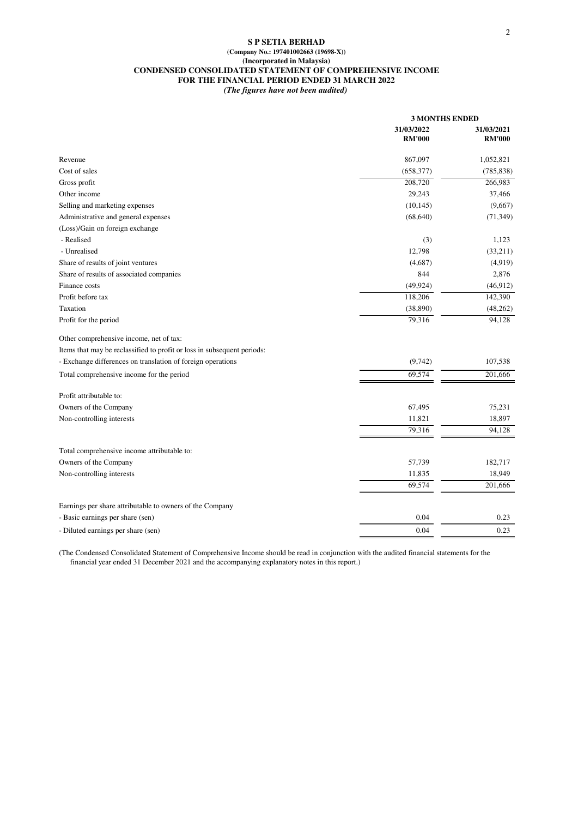#### **S P SETIA BERHAD (Company No.: 197401002663 (19698-X)) (Incorporated in Malaysia) CONDENSED CONSOLIDATED STATEMENT OF COMPREHENSIVE INCOME FOR THE FINANCIAL PERIOD ENDED 31 MARCH 2022** *(The figures have not been audited)*

|                                                                         | <b>3 MONTHS ENDED</b>       |                             |
|-------------------------------------------------------------------------|-----------------------------|-----------------------------|
|                                                                         | 31/03/2022<br><b>RM'000</b> | 31/03/2021<br><b>RM'000</b> |
|                                                                         |                             |                             |
| Revenue                                                                 | 867,097                     | 1,052,821                   |
| Cost of sales                                                           | (658, 377)                  | (785, 838)                  |
| Gross profit                                                            | 208,720                     | 266,983                     |
| Other income                                                            | 29,243                      | 37,466                      |
| Selling and marketing expenses                                          | (10, 145)                   | (9,667)                     |
| Administrative and general expenses                                     | (68, 640)                   | (71, 349)                   |
| (Loss)/Gain on foreign exchange                                         |                             |                             |
| - Realised                                                              | (3)                         | 1,123                       |
| - Unrealised                                                            | 12,798                      | (33,211)                    |
| Share of results of joint ventures                                      | (4,687)                     | (4,919)                     |
| Share of results of associated companies                                | 844                         | 2,876                       |
| Finance costs                                                           | (49, 924)                   | (46, 912)                   |
| Profit before tax                                                       | 118,206                     | 142,390                     |
| Taxation                                                                | (38, 890)                   | (48, 262)                   |
| Profit for the period                                                   | 79,316                      | 94,128                      |
| Other comprehensive income, net of tax:                                 |                             |                             |
| Items that may be reclassified to profit or loss in subsequent periods: |                             |                             |
| - Exchange differences on translation of foreign operations             | (9,742)                     | 107,538                     |
| Total comprehensive income for the period                               | 69,574                      | 201,666                     |
| Profit attributable to:                                                 |                             |                             |
| Owners of the Company                                                   | 67,495                      | 75,231                      |
| Non-controlling interests                                               | 11,821                      | 18,897                      |
|                                                                         | 79,316                      | 94,128                      |
| Total comprehensive income attributable to:                             |                             |                             |
| Owners of the Company                                                   | 57,739                      | 182,717                     |
| Non-controlling interests                                               | 11,835                      | 18,949                      |
|                                                                         | 69,574                      | 201,666                     |
| Earnings per share attributable to owners of the Company                |                             |                             |
| - Basic earnings per share (sen)                                        | 0.04                        | 0.23                        |
| - Diluted earnings per share (sen)                                      | 0.04                        | 0.23                        |

(The Condensed Consolidated Statement of Comprehensive Income should be read in conjunction with the audited financial statements for the financial year ended 31 December 2021 and the accompanying explanatory notes in this report.)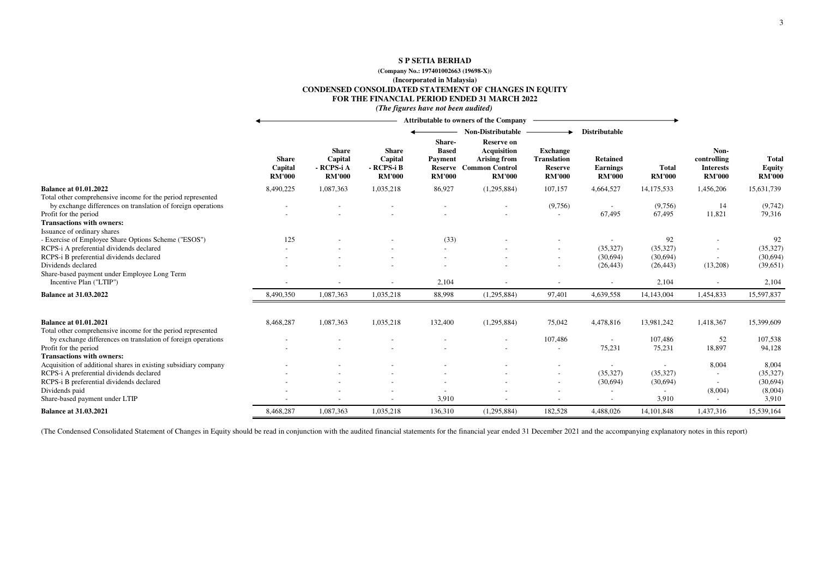#### **S P SETIA BERHAD**

#### **(Company No.: 197401002663 (19698-X))**

**(Incorporated in Malaysia)**

#### **CONDENSED CONSOLIDATED STATEMENT OF CHANGES IN EQUITY**

**FOR THE FINANCIAL PERIOD ENDED 31 MARCH 2022**

*(The figures have not been audited)*

|                                                                                                                                                                                          |                                          |                                                        |                                                        |                                                                      | <b>Attributable to owners of the Company</b>                                                             |                                                                          |                                                     |                               |                                                          |                                         |
|------------------------------------------------------------------------------------------------------------------------------------------------------------------------------------------|------------------------------------------|--------------------------------------------------------|--------------------------------------------------------|----------------------------------------------------------------------|----------------------------------------------------------------------------------------------------------|--------------------------------------------------------------------------|-----------------------------------------------------|-------------------------------|----------------------------------------------------------|-----------------------------------------|
|                                                                                                                                                                                          |                                          |                                                        |                                                        |                                                                      | <b>Non-Distributable</b>                                                                                 |                                                                          | <b>Distributable</b>                                |                               |                                                          |                                         |
|                                                                                                                                                                                          | <b>Share</b><br>Capital<br><b>RM'000</b> | <b>Share</b><br>Capital<br>- RCPS-i A<br><b>RM'000</b> | <b>Share</b><br>Capital<br>- RCPS-i B<br><b>RM'000</b> | Share-<br><b>Based</b><br>Payment<br><b>Reserve</b><br><b>RM'000</b> | <b>Reserve on</b><br><b>Acquisition</b><br><b>Arising from</b><br><b>Common Control</b><br><b>RM'000</b> | <b>Exchange</b><br><b>Translation</b><br><b>Reserve</b><br><b>RM'000</b> | <b>Retained</b><br><b>Earnings</b><br><b>RM'000</b> | <b>Total</b><br><b>RM'000</b> | Non-<br>controlling<br><b>Interests</b><br><b>RM'000</b> | Total<br><b>Equity</b><br><b>RM'000</b> |
| <b>Balance at 01.01.2022</b>                                                                                                                                                             | 8,490,225                                | 1,087,363                                              | 1,035,218                                              | 86,927                                                               | (1,295,884)                                                                                              | 107,157                                                                  | 4,664,527                                           | 14, 175, 533                  | 1,456,206                                                | 15,631,739                              |
| Total other comprehensive income for the period represented<br>by exchange differences on translation of foreign operations<br>Profit for the period<br><b>Transactions with owners:</b> |                                          |                                                        |                                                        |                                                                      |                                                                                                          | (9,756)                                                                  | 67,495                                              | (9,756)<br>67,495             | 14<br>11,821                                             | (9,742)<br>79,316                       |
| Issuance of ordinary shares<br>- Exercise of Employee Share Options Scheme ("ESOS")                                                                                                      | 125                                      |                                                        |                                                        | (33)                                                                 |                                                                                                          |                                                                          |                                                     | 92                            |                                                          | 92                                      |
| RCPS-i A preferential dividends declared                                                                                                                                                 |                                          |                                                        |                                                        | $\sim$                                                               |                                                                                                          |                                                                          | (35, 327)                                           | (35, 327)                     |                                                          | (35, 327)                               |
| RCPS-i B preferential dividends declared                                                                                                                                                 |                                          |                                                        |                                                        |                                                                      |                                                                                                          |                                                                          | (30,694)                                            | (30,694)                      |                                                          | (30,694)                                |
| Dividends declared                                                                                                                                                                       |                                          |                                                        |                                                        |                                                                      |                                                                                                          |                                                                          | (26, 443)                                           | (26, 443)                     | (13,208)                                                 | (39,651)                                |
| Share-based payment under Employee Long Term<br>Incentive Plan ("LTIP")                                                                                                                  |                                          |                                                        |                                                        | 2,104                                                                |                                                                                                          |                                                                          |                                                     | 2,104                         |                                                          | 2,104                                   |
| <b>Balance at 31.03.2022</b>                                                                                                                                                             | 8,490,350                                | 1,087,363                                              | 1,035,218                                              | 88,998                                                               | (1,295,884)                                                                                              | 97,401                                                                   | 4,639,558                                           | 14,143,004                    | 1,454,833                                                | 15,597,837                              |
| <b>Balance at 01.01.2021</b>                                                                                                                                                             | 8,468,287                                | 1,087,363                                              | 1,035,218                                              | 132,400                                                              | (1,295,884)                                                                                              | 75,042                                                                   | 4,478,816                                           | 13,981,242                    | 1,418,367                                                | 15,399,609                              |
| Total other comprehensive income for the period represented                                                                                                                              |                                          |                                                        |                                                        |                                                                      |                                                                                                          |                                                                          |                                                     |                               |                                                          |                                         |
| by exchange differences on translation of foreign operations                                                                                                                             |                                          |                                                        |                                                        |                                                                      |                                                                                                          | 107,486                                                                  | $\overline{\phantom{a}}$                            | 107,486                       | 52                                                       | 107,538                                 |
| Profit for the period<br><b>Transactions with owners:</b>                                                                                                                                |                                          |                                                        |                                                        |                                                                      |                                                                                                          |                                                                          | 75,231                                              | 75,231                        | 18,897                                                   | 94,128                                  |
| Acquisition of additional shares in existing subsidiary company                                                                                                                          |                                          |                                                        |                                                        |                                                                      |                                                                                                          |                                                                          |                                                     | $\blacksquare$                | 8,004                                                    | 8,004                                   |
| RCPS-i A preferential dividends declared                                                                                                                                                 |                                          |                                                        |                                                        |                                                                      |                                                                                                          |                                                                          | (35, 327)                                           | (35, 327)                     | $\sim$                                                   | (35, 327)                               |
| RCPS-i B preferential dividends declared                                                                                                                                                 |                                          |                                                        |                                                        |                                                                      |                                                                                                          |                                                                          | (30,694)                                            | (30,694)                      | $\overline{\phantom{a}}$                                 | (30,694)                                |
| Dividends paid                                                                                                                                                                           |                                          |                                                        |                                                        |                                                                      |                                                                                                          |                                                                          |                                                     |                               | (8,004)                                                  | (8,004)                                 |
| Share-based payment under LTIP                                                                                                                                                           |                                          |                                                        |                                                        | 3,910                                                                |                                                                                                          |                                                                          |                                                     | 3,910                         | $\sim$                                                   | 3,910                                   |
| <b>Balance at 31.03.2021</b>                                                                                                                                                             | 8,468,287                                | 1,087,363                                              | 1,035,218                                              | 136,310                                                              | (1,295,884)                                                                                              | 182,528                                                                  | 4,488,026                                           | 14, 101, 848                  | 1,437,316                                                | 15,539,164                              |

(The Condensed Consolidated Statement of Changes in Equity should be read in conjunction with the audited financial statements for the financial year ended 31 December 2021 and the accompanying explanatory notes in this re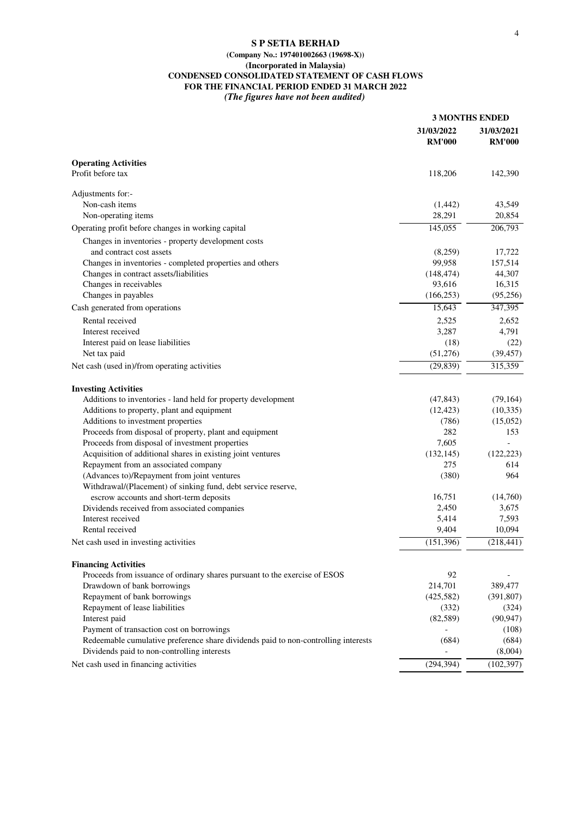### **S P SETIA BERHAD**

### **(Company No.: 197401002663 (19698-X)) (Incorporated in Malaysia) CONDENSED CONSOLIDATED STATEMENT OF CASH FLOWS FOR THE FINANCIAL PERIOD ENDED 31 MARCH 2022** *(The figures have not been audited)*

|                                                                                    | <b>3 MONTHS ENDED</b>       |                             |
|------------------------------------------------------------------------------------|-----------------------------|-----------------------------|
|                                                                                    | 31/03/2022<br><b>RM'000</b> | 31/03/2021<br><b>RM'000</b> |
| <b>Operating Activities</b>                                                        |                             |                             |
| Profit before tax                                                                  | 118,206                     | 142,390                     |
| Adjustments for:-                                                                  |                             |                             |
| Non-cash items                                                                     | (1,442)                     | 43,549                      |
| Non-operating items                                                                | 28,291                      | 20,854                      |
| Operating profit before changes in working capital                                 | 145,055                     | 206,793                     |
| Changes in inventories - property development costs                                |                             |                             |
| and contract cost assets                                                           | (8,259)                     | 17,722                      |
| Changes in inventories - completed properties and others                           | 99,958                      | 157,514                     |
| Changes in contract assets/liabilities                                             | (148, 474)                  | 44,307                      |
| Changes in receivables                                                             | 93,616                      | 16,315                      |
| Changes in payables                                                                | (166, 253)                  | (95,256)                    |
| Cash generated from operations                                                     | 15,643                      | 347,395                     |
| Rental received                                                                    | 2,525                       | 2,652                       |
| Interest received                                                                  | 3,287                       | 4,791                       |
| Interest paid on lease liabilities                                                 | (18)                        | (22)                        |
| Net tax paid                                                                       | (51,276)                    | (39, 457)                   |
| Net cash (used in)/from operating activities                                       | (29, 839)                   | 315,359                     |
| <b>Investing Activities</b>                                                        |                             |                             |
| Additions to inventories - land held for property development                      | (47, 843)                   | (79, 164)                   |
| Additions to property, plant and equipment                                         | (12, 423)                   | (10, 335)                   |
| Additions to investment properties                                                 | (786)                       | (15,052)                    |
| Proceeds from disposal of property, plant and equipment                            | 282                         | 153                         |
| Proceeds from disposal of investment properties                                    | 7,605                       | $\overline{a}$              |
| Acquisition of additional shares in existing joint ventures                        | (132, 145)                  | (122, 223)                  |
| Repayment from an associated company                                               | 275                         | 614                         |
| (Advances to)/Repayment from joint ventures                                        | (380)                       | 964                         |
| Withdrawal/(Placement) of sinking fund, debt service reserve,                      |                             |                             |
| escrow accounts and short-term deposits                                            | 16,751                      | (14,760)                    |
| Dividends received from associated companies                                       | 2,450                       | 3,675                       |
| Interest received                                                                  | 5,414                       | 7,593                       |
| Rental received                                                                    | 9,404                       | 10,094                      |
| Net cash used in investing activities                                              | (151, 396)                  | (218, 441)                  |
| <b>Financing Activities</b>                                                        |                             |                             |
| Proceeds from issuance of ordinary shares pursuant to the exercise of ESOS         | 92                          |                             |
| Drawdown of bank borrowings                                                        | 214,701                     | 389,477                     |
| Repayment of bank borrowings                                                       | (425,582)                   | (391, 807)                  |
| Repayment of lease liabilities                                                     | (332)                       | (324)                       |
| Interest paid                                                                      | (82, 589)                   | (90, 947)                   |
| Payment of transaction cost on borrowings                                          |                             | (108)                       |
| Redeemable cumulative preference share dividends paid to non-controlling interests | (684)                       | (684)                       |
| Dividends paid to non-controlling interests                                        |                             | (8,004)                     |
| Net cash used in financing activities                                              | (294, 394)                  | (102, 397)                  |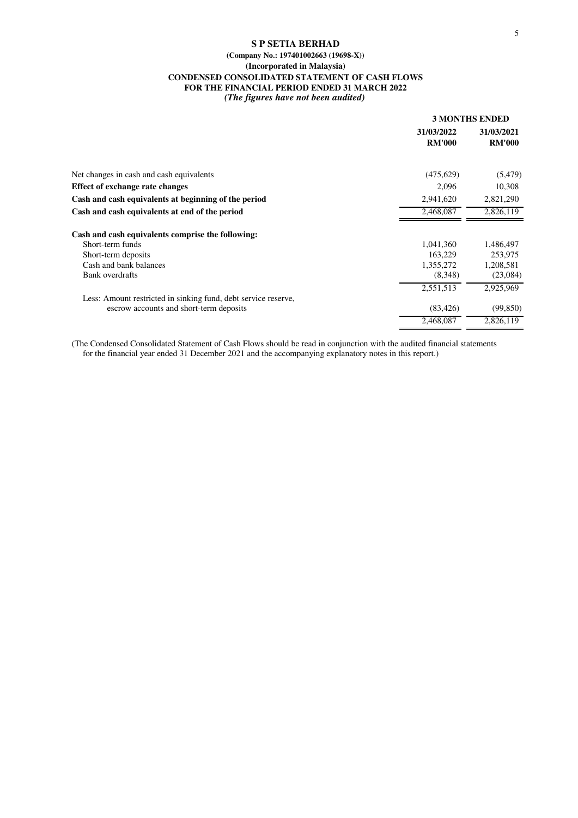### **S P SETIA BERHAD (Company No.: 197401002663 (19698-X)) (Incorporated in Malaysia) CONDENSED CONSOLIDATED STATEMENT OF CASH FLOWS FOR THE FINANCIAL PERIOD ENDED 31 MARCH 2022** *(The figures have not been audited)*

|                                                                |                             | <b>3 MONTHS ENDED</b>       |
|----------------------------------------------------------------|-----------------------------|-----------------------------|
|                                                                | 31/03/2022<br><b>RM'000</b> | 31/03/2021<br><b>RM'000</b> |
| Net changes in cash and cash equivalents                       | (475, 629)                  | (5, 479)                    |
| <b>Effect of exchange rate changes</b>                         | 2,096                       | 10,308                      |
| Cash and cash equivalents at beginning of the period           | 2,941,620                   | 2,821,290                   |
| Cash and cash equivalents at end of the period                 | 2,468,087                   | 2,826,119                   |
| Cash and cash equivalents comprise the following:              |                             |                             |
| Short-term funds                                               | 1,041,360                   | 1,486,497                   |
| Short-term deposits                                            | 163,229                     | 253,975                     |
| Cash and bank balances                                         | 1,355,272                   | 1,208,581                   |
| Bank overdrafts                                                | (8,348)                     | (23,084)                    |
|                                                                | 2,551,513                   | 2,925,969                   |
| Less: Amount restricted in sinking fund, debt service reserve, |                             |                             |
| escrow accounts and short-term deposits                        | (83, 426)                   | (99, 850)                   |
|                                                                | 2,468,087                   | 2,826,119                   |

(The Condensed Consolidated Statement of Cash Flows should be read in conjunction with the audited financial statements for the financial year ended 31 December 2021 and the accompanying explanatory notes in this report.)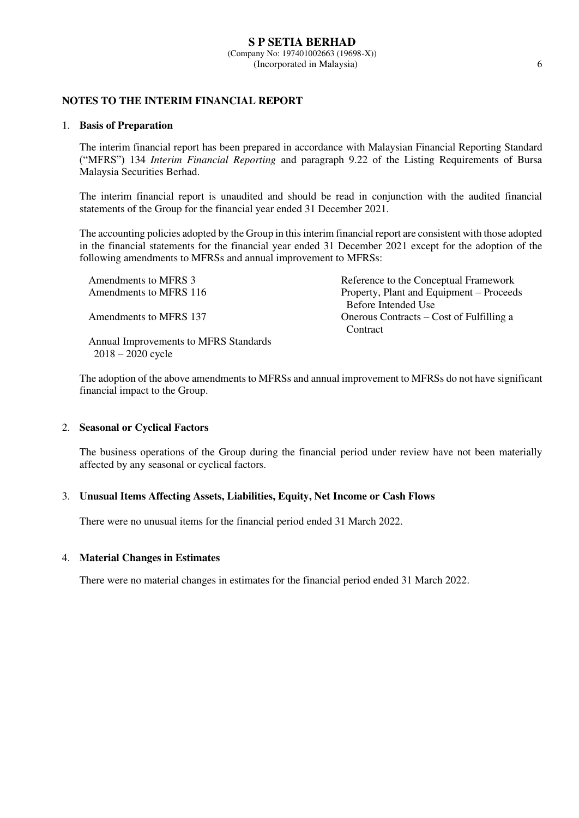# **NOTES TO THE INTERIM FINANCIAL REPORT**

### 1. **Basis of Preparation**

 The interim financial report has been prepared in accordance with Malaysian Financial Reporting Standard ("MFRS") 134 *Interim Financial Reporting* and paragraph 9.22 of the Listing Requirements of Bursa Malaysia Securities Berhad.

 The interim financial report is unaudited and should be read in conjunction with the audited financial statements of the Group for the financial year ended 31 December 2021.

The accounting policies adopted by the Group in this interim financial report are consistent with those adopted in the financial statements for the financial year ended 31 December 2021 except for the adoption of the following amendments to MFRSs and annual improvement to MFRSs:

| Amendments to MFRS 3                  | Reference to the Conceptual Framework    |
|---------------------------------------|------------------------------------------|
| Amendments to MFRS 116                | Property, Plant and Equipment – Proceeds |
|                                       | Before Intended Use                      |
| Amendments to MFRS 137                | Onerous Contracts – Cost of Fulfilling a |
|                                       | Contract                                 |
| Annual Improvements to MFRS Standards |                                          |

The adoption of the above amendments to MFRSs and annual improvement to MFRSs do not have significant financial impact to the Group.

### 2. **Seasonal or Cyclical Factors**

2018 – 2020 cycle

The business operations of the Group during the financial period under review have not been materially affected by any seasonal or cyclical factors.

### 3. **Unusual Items Affecting Assets, Liabilities, Equity, Net Income or Cash Flows**

There were no unusual items for the financial period ended 31 March 2022.

### 4. **Material Changes in Estimates**

There were no material changes in estimates for the financial period ended 31 March 2022.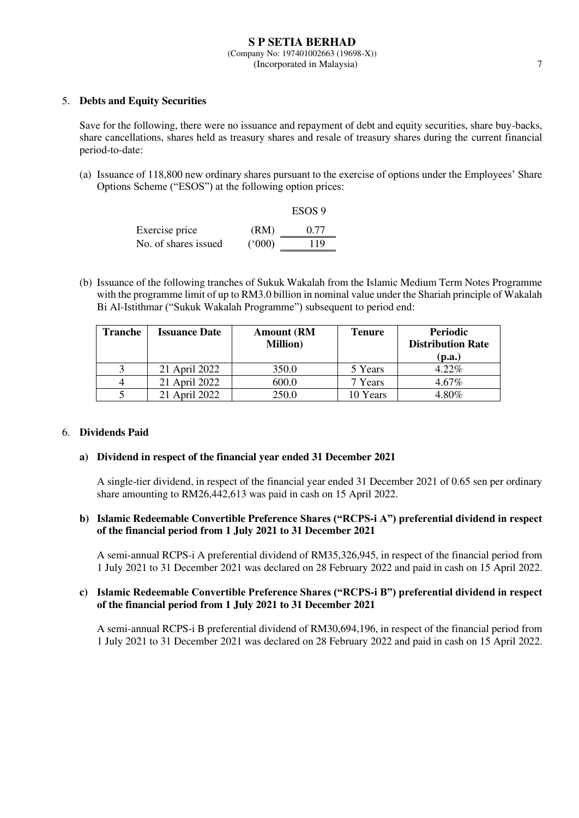## 5. **Debts and Equity Securities**

Save for the following, there were no issuance and repayment of debt and equity securities, share buy-backs, share cancellations, shares held as treasury shares and resale of treasury shares during the current financial period-to-date:

(a) Issuance of 118,800 new ordinary shares pursuant to the exercise of options under the Employees' Share Options Scheme ("ESOS") at the following option prices:

|                      |       | ESOS 9 |
|----------------------|-------|--------|
| Exercise price       | (RM)  | 0.77   |
| No. of shares issued | (000) | 119    |

(b) Issuance of the following tranches of Sukuk Wakalah from the Islamic Medium Term Notes Programme with the programme limit of up to RM3.0 billion in nominal value under the Shariah principle of Wakalah Bi Al-Istithmar ("Sukuk Wakalah Programme") subsequent to period end:

| Tranche | <b>Issuance Date</b> | <b>Amount</b> (RM<br><b>Million</b> ) | <b>Tenure</b> | <b>Periodic</b><br><b>Distribution Rate</b><br>(p.a.) |
|---------|----------------------|---------------------------------------|---------------|-------------------------------------------------------|
|         | 21 April 2022        | 350.0                                 | 5 Years       | $4.22\%$                                              |
|         | 21 April 2022        | 600.0                                 | 7 Years       | $4.67\%$                                              |
|         | April 2022           | 250.0                                 | 10 Years      | 4.80%                                                 |

## 6. **Dividends Paid**

### **a) Dividend in respect of the financial year ended 31 December 2021**

A single-tier dividend, in respect of the financial year ended 31 December 2021 of 0.65 sen per ordinary share amounting to RM26,442,613 was paid in cash on 15 April 2022.

### **b) Islamic Redeemable Convertible Preference Shares ("RCPS-i A") preferential dividend in respect of the financial period from 1 July 2021 to 31 December 2021**

A semi-annual RCPS-i A preferential dividend of RM35,326,945, in respect of the financial period from 1 July 2021 to 31 December 2021 was declared on 28 February 2022 and paid in cash on 15 April 2022.

### **c) Islamic Redeemable Convertible Preference Shares ("RCPS-i B") preferential dividend in respect of the financial period from 1 July 2021 to 31 December 2021**

A semi-annual RCPS-i B preferential dividend of RM30,694,196, in respect of the financial period from 1 July 2021 to 31 December 2021 was declared on 28 February 2022 and paid in cash on 15 April 2022.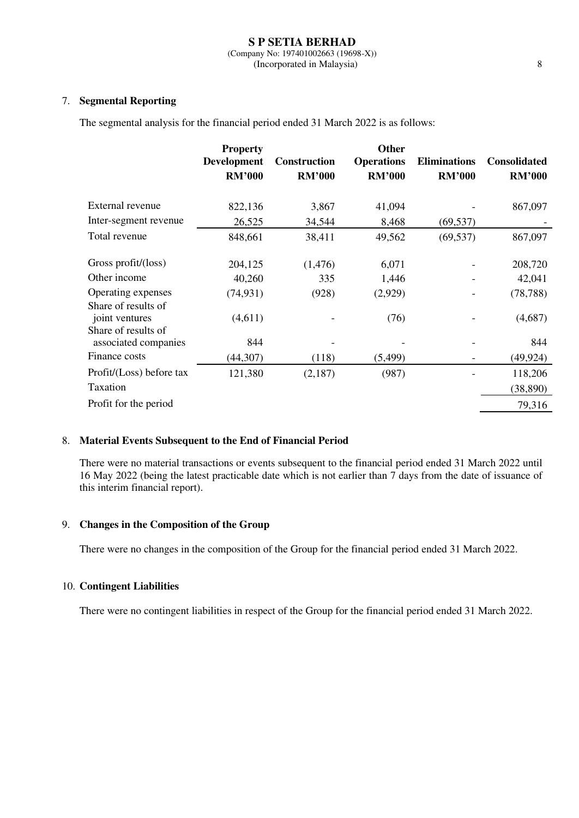# 7. **Segmental Reporting**

The segmental analysis for the financial period ended 31 March 2022 is as follows:

|                                                              | <b>Property</b><br><b>Development</b><br><b>RM'000</b> | Construction<br><b>RM'000</b> | <b>Other</b><br><b>Operations</b><br><b>RM'000</b> | <b>Eliminations</b><br><b>RM'000</b> | <b>Consolidated</b><br><b>RM'000</b> |
|--------------------------------------------------------------|--------------------------------------------------------|-------------------------------|----------------------------------------------------|--------------------------------------|--------------------------------------|
| External revenue                                             | 822,136                                                | 3,867                         | 41,094                                             |                                      | 867,097                              |
| Inter-segment revenue                                        | 26,525                                                 | 34,544                        | 8,468                                              | (69, 537)                            |                                      |
| Total revenue                                                | 848,661                                                | 38,411                        | 49,562                                             | (69, 537)                            | 867,097                              |
| Gross profit/(loss)<br>Other income                          | 204,125<br>40,260                                      | (1, 476)<br>335               | 6,071<br>1,446                                     |                                      | 208,720<br>42,041                    |
| Operating expenses                                           | (74, 931)                                              | (928)                         | (2,929)                                            |                                      | (78, 788)                            |
| Share of results of<br>joint ventures<br>Share of results of | (4,611)                                                |                               | (76)                                               |                                      | (4,687)                              |
| associated companies<br>Finance costs                        | 844                                                    |                               |                                                    |                                      | 844                                  |
| Profit/(Loss) before tax<br>Taxation                         | (44, 307)<br>121,380                                   | (118)<br>(2,187)              | (5, 499)<br>(987)                                  |                                      | (49, 924)<br>118,206<br>(38, 890)    |
| Profit for the period                                        |                                                        |                               |                                                    |                                      | 79,316                               |

# 8. **Material Events Subsequent to the End of Financial Period**

There were no material transactions or events subsequent to the financial period ended 31 March 2022 until 16 May 2022 (being the latest practicable date which is not earlier than 7 days from the date of issuance of this interim financial report).

## 9. **Changes in the Composition of the Group**

There were no changes in the composition of the Group for the financial period ended 31 March 2022.

### 10. **Contingent Liabilities**

There were no contingent liabilities in respect of the Group for the financial period ended 31 March 2022.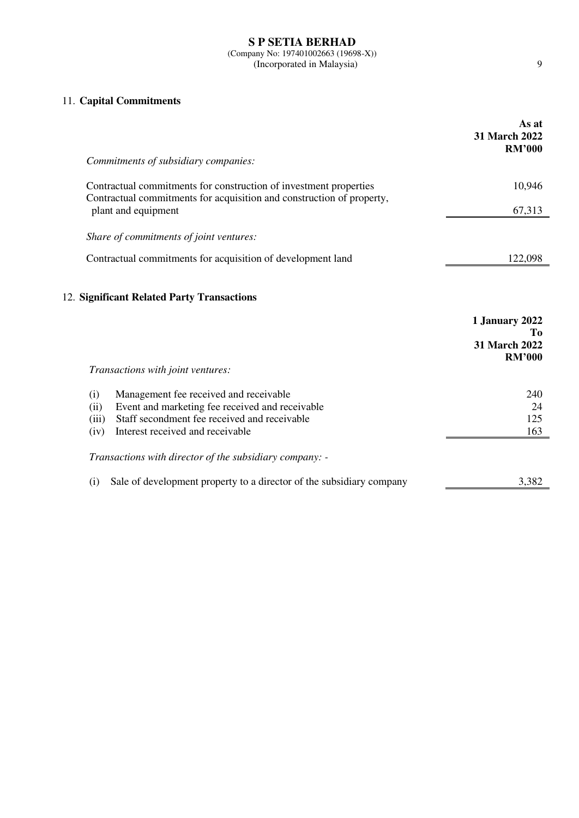# 11. **Capital Commitments**

|                                                                                                                                            | As at<br>31 March 2022<br><b>RM'000</b>                |
|--------------------------------------------------------------------------------------------------------------------------------------------|--------------------------------------------------------|
| Commitments of subsidiary companies:                                                                                                       |                                                        |
| Contractual commitments for construction of investment properties<br>Contractual commitments for acquisition and construction of property, | 10,946                                                 |
| plant and equipment                                                                                                                        | 67,313                                                 |
| Share of commitments of joint ventures:                                                                                                    |                                                        |
| Contractual commitments for acquisition of development land                                                                                | 122,098                                                |
| Transactions with joint ventures:                                                                                                          | 1 January 2022<br>Tо<br>31 March 2022<br><b>RM'000</b> |
| Management fee received and receivable<br>(i)                                                                                              | 240                                                    |
| Event and marketing fee received and receivable<br>(ii)<br>Staff secondment fee received and receivable<br>(iii)                           | 24<br>125                                              |
| Interest received and receivable<br>(iv)                                                                                                   | 163                                                    |
| Transactions with director of the subsidiary company: -                                                                                    |                                                        |
|                                                                                                                                            |                                                        |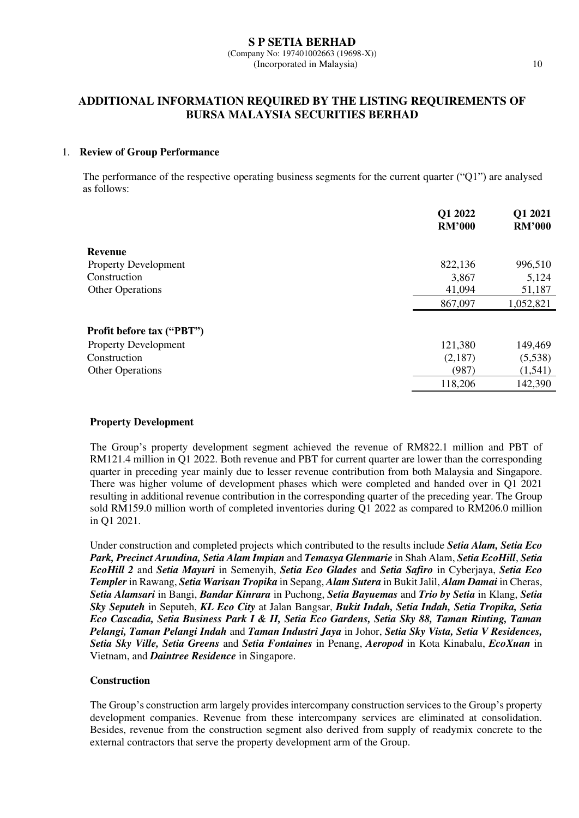# **ADDITIONAL INFORMATION REQUIRED BY THE LISTING REQUIREMENTS OF BURSA MALAYSIA SECURITIES BERHAD**

### 1. **Review of Group Performance**

The performance of the respective operating business segments for the current quarter ("Q1") are analysed as follows:

|                                  | Q1 2022<br><b>RM'000</b> | Q1 2021<br><b>RM'000</b> |
|----------------------------------|--------------------------|--------------------------|
| <b>Revenue</b>                   |                          |                          |
| <b>Property Development</b>      | 822,136                  | 996,510                  |
| Construction                     | 3,867                    | 5,124                    |
| <b>Other Operations</b>          | 41,094                   | 51,187                   |
|                                  | 867,097                  | 1,052,821                |
| <b>Profit before tax ("PBT")</b> |                          |                          |
| <b>Property Development</b>      | 121,380                  | 149,469                  |
| Construction                     | (2,187)                  | (5,538)                  |
| <b>Other Operations</b>          | (987)                    | (1, 541)                 |
|                                  | 118,206                  | 142,390                  |
|                                  |                          |                          |

### **Property Development**

The Group's property development segment achieved the revenue of RM822.1 million and PBT of RM121.4 million in Q1 2022. Both revenue and PBT for current quarter are lower than the corresponding quarter in preceding year mainly due to lesser revenue contribution from both Malaysia and Singapore. There was higher volume of development phases which were completed and handed over in Q1 2021 resulting in additional revenue contribution in the corresponding quarter of the preceding year. The Group sold RM159.0 million worth of completed inventories during Q1 2022 as compared to RM206.0 million in Q1 2021.

Under construction and completed projects which contributed to the results include *Setia Alam, Setia Eco Park, Precinct Arundina, Setia Alam Impian* and *Temasya Glenmarie* in Shah Alam, *Setia EcoHill*, *Setia EcoHill 2* and *Setia Mayuri* in Semenyih, *Setia Eco Glades* and *Setia Safiro* in Cyberjaya, *Setia Eco Templer* in Rawang, *Setia Warisan Tropika* in Sepang, *Alam Sutera* in Bukit Jalil, *Alam Damai* in Cheras, *Setia Alamsari* in Bangi, *Bandar Kinrara* in Puchong, *Setia Bayuemas* and *Trio by Setia* in Klang, *Setia Sky Seputeh* in Seputeh, *KL Eco City* at Jalan Bangsar, *Bukit Indah, Setia Indah, Setia Tropika, Setia Eco Cascadia, Setia Business Park I & II, Setia Eco Gardens, Setia Sky 88, Taman Rinting, Taman Pelangi, Taman Pelangi Indah* and *Taman Industri Jaya* in Johor, *Setia Sky Vista, Setia V Residences, Setia Sky Ville, Setia Greens* and *Setia Fontaines* in Penang, *Aeropod* in Kota Kinabalu, *EcoXuan* in Vietnam, and *Daintree Residence* in Singapore.

## **Construction**

The Group's construction arm largely provides intercompany construction services to the Group's property development companies. Revenue from these intercompany services are eliminated at consolidation. Besides, revenue from the construction segment also derived from supply of readymix concrete to the external contractors that serve the property development arm of the Group.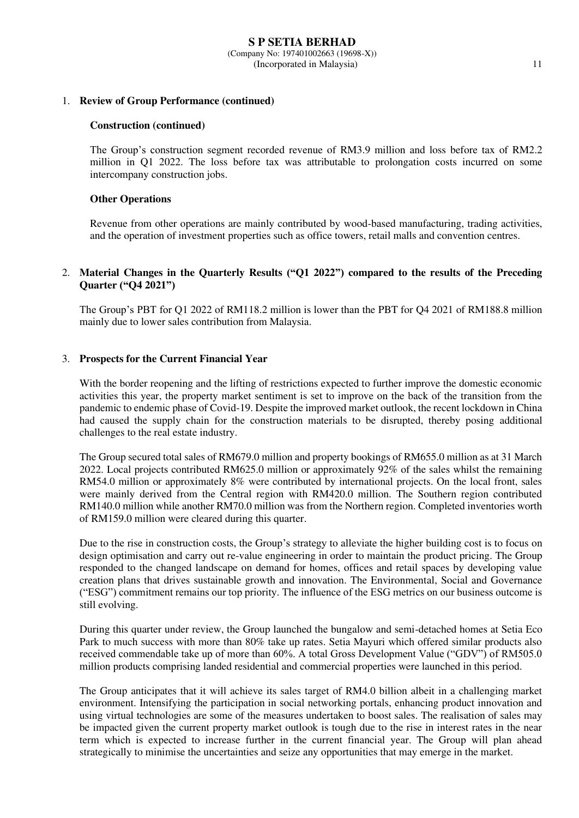### 1. **Review of Group Performance (continued)**

### **Construction (continued)**

The Group's construction segment recorded revenue of RM3.9 million and loss before tax of RM2.2 million in Q1 2022. The loss before tax was attributable to prolongation costs incurred on some intercompany construction jobs.

### **Other Operations**

Revenue from other operations are mainly contributed by wood-based manufacturing, trading activities, and the operation of investment properties such as office towers, retail malls and convention centres.

## 2. **Material Changes in the Quarterly Results ("Q1 2022") compared to the results of the Preceding Quarter ("Q4 2021")**

The Group's PBT for Q1 2022 of RM118.2 million is lower than the PBT for Q4 2021 of RM188.8 million mainly due to lower sales contribution from Malaysia.

### 3. **Prospects for the Current Financial Year**

With the border reopening and the lifting of restrictions expected to further improve the domestic economic activities this year, the property market sentiment is set to improve on the back of the transition from the pandemic to endemic phase of Covid-19. Despite the improved market outlook, the recent lockdown in China had caused the supply chain for the construction materials to be disrupted, thereby posing additional challenges to the real estate industry.

The Group secured total sales of RM679.0 million and property bookings of RM655.0 million as at 31 March 2022. Local projects contributed RM625.0 million or approximately 92% of the sales whilst the remaining RM54.0 million or approximately 8% were contributed by international projects. On the local front, sales were mainly derived from the Central region with RM420.0 million. The Southern region contributed RM140.0 million while another RM70.0 million was from the Northern region. Completed inventories worth of RM159.0 million were cleared during this quarter.

Due to the rise in construction costs, the Group's strategy to alleviate the higher building cost is to focus on design optimisation and carry out re-value engineering in order to maintain the product pricing. The Group responded to the changed landscape on demand for homes, offices and retail spaces by developing value creation plans that drives sustainable growth and innovation. The Environmental, Social and Governance ("ESG") commitment remains our top priority. The influence of the ESG metrics on our business outcome is still evolving.

During this quarter under review, the Group launched the bungalow and semi-detached homes at Setia Eco Park to much success with more than 80% take up rates. Setia Mayuri which offered similar products also received commendable take up of more than 60%. A total Gross Development Value ("GDV") of RM505.0 million products comprising landed residential and commercial properties were launched in this period.

The Group anticipates that it will achieve its sales target of RM4.0 billion albeit in a challenging market environment. Intensifying the participation in social networking portals, enhancing product innovation and using virtual technologies are some of the measures undertaken to boost sales. The realisation of sales may be impacted given the current property market outlook is tough due to the rise in interest rates in the near term which is expected to increase further in the current financial year. The Group will plan ahead strategically to minimise the uncertainties and seize any opportunities that may emerge in the market.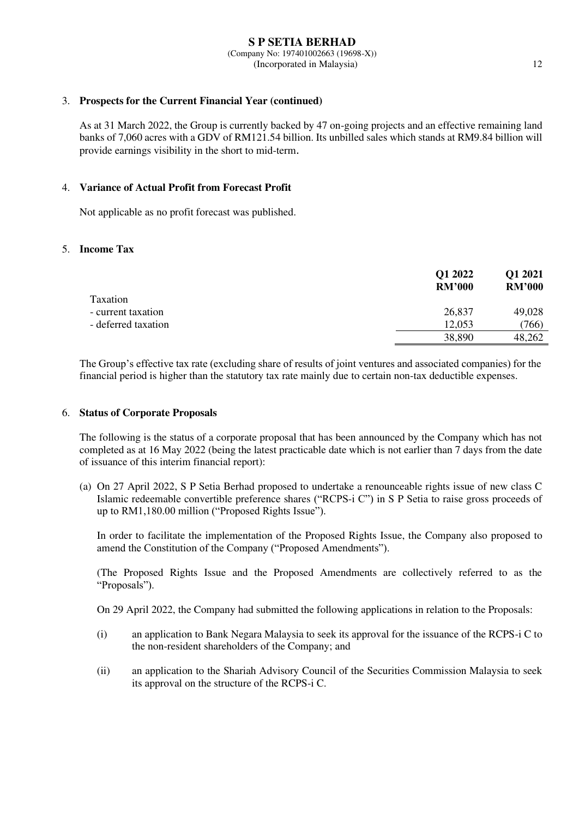### 3. **Prospects for the Current Financial Year (continued)**

As at 31 March 2022, the Group is currently backed by 47 on-going projects and an effective remaining land banks of 7,060 acres with a GDV of RM121.54 billion. Its unbilled sales which stands at RM9.84 billion will provide earnings visibility in the short to mid-term.

### 4. **Variance of Actual Profit from Forecast Profit**

Not applicable as no profit forecast was published.

### 5. **Income Tax**

|                     | Q1 2022<br><b>RM'000</b> | Q1 2021<br><b>RM'000</b> |
|---------------------|--------------------------|--------------------------|
| Taxation            |                          |                          |
| - current taxation  | 26,837                   | 49,028                   |
| - deferred taxation | 12,053                   | (766)                    |
|                     | 38,890                   | 48,262                   |

The Group's effective tax rate (excluding share of results of joint ventures and associated companies) for the financial period is higher than the statutory tax rate mainly due to certain non-tax deductible expenses.

### 6. **Status of Corporate Proposals**

The following is the status of a corporate proposal that has been announced by the Company which has not completed as at 16 May 2022 (being the latest practicable date which is not earlier than 7 days from the date of issuance of this interim financial report):

(a) On 27 April 2022, S P Setia Berhad proposed to undertake a renounceable rights issue of new class C Islamic redeemable convertible preference shares ("RCPS-i C") in S P Setia to raise gross proceeds of up to RM1,180.00 million ("Proposed Rights Issue").

In order to facilitate the implementation of the Proposed Rights Issue, the Company also proposed to amend the Constitution of the Company ("Proposed Amendments").

(The Proposed Rights Issue and the Proposed Amendments are collectively referred to as the "Proposals").

On 29 April 2022, the Company had submitted the following applications in relation to the Proposals:

- (i) an application to Bank Negara Malaysia to seek its approval for the issuance of the RCPS-i C to the non-resident shareholders of the Company; and
- (ii) an application to the Shariah Advisory Council of the Securities Commission Malaysia to seek its approval on the structure of the RCPS-i C.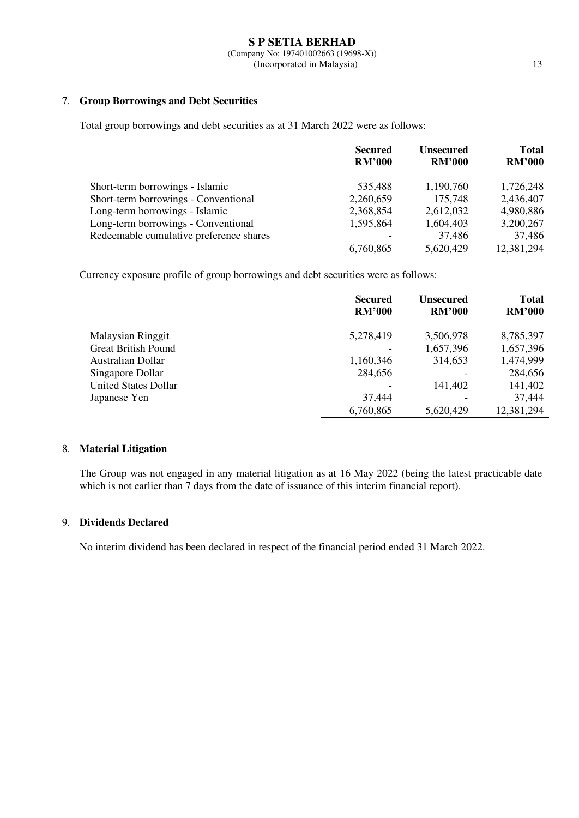# 7. **Group Borrowings and Debt Securities**

Total group borrowings and debt securities as at 31 March 2022 were as follows:

|                                         | <b>Secured</b><br><b>RM'000</b> | <b>Unsecured</b><br><b>RM'000</b> | <b>Total</b><br><b>RM'000</b> |
|-----------------------------------------|---------------------------------|-----------------------------------|-------------------------------|
|                                         |                                 |                                   |                               |
| Short-term borrowings - Islamic         | 535,488                         | 1,190,760                         | 1,726,248                     |
| Short-term borrowings - Conventional    | 2,260,659                       | 175,748                           | 2,436,407                     |
| Long-term borrowings - Islamic          | 2,368,854                       | 2,612,032                         | 4,980,886                     |
| Long-term borrowings - Conventional     | 1,595,864                       | 1,604,403                         | 3,200,267                     |
| Redeemable cumulative preference shares |                                 | 37,486                            | 37,486                        |
|                                         | 6,760,865                       | 5,620,429                         | 12,381,294                    |

Currency exposure profile of group borrowings and debt securities were as follows:

|                             | <b>Secured</b><br><b>RM'000</b> | <b>Unsecured</b><br><b>RM'000</b> | <b>Total</b><br><b>RM'000</b> |
|-----------------------------|---------------------------------|-----------------------------------|-------------------------------|
| <b>Malaysian Ringgit</b>    | 5,278,419                       | 3,506,978                         | 8,785,397                     |
| <b>Great British Pound</b>  |                                 | 1,657,396                         | 1,657,396                     |
| Australian Dollar           | 1,160,346                       | 314,653                           | 1,474,999                     |
| Singapore Dollar            | 284,656                         |                                   | 284,656                       |
| <b>United States Dollar</b> |                                 | 141,402                           | 141,402                       |
| Japanese Yen                | 37,444                          |                                   | 37,444                        |
|                             | 6,760,865                       | 5,620,429                         | 12,381,294                    |

# 8. **Material Litigation**

The Group was not engaged in any material litigation as at 16 May 2022 (being the latest practicable date which is not earlier than 7 days from the date of issuance of this interim financial report).

# 9. **Dividends Declared**

No interim dividend has been declared in respect of the financial period ended 31 March 2022.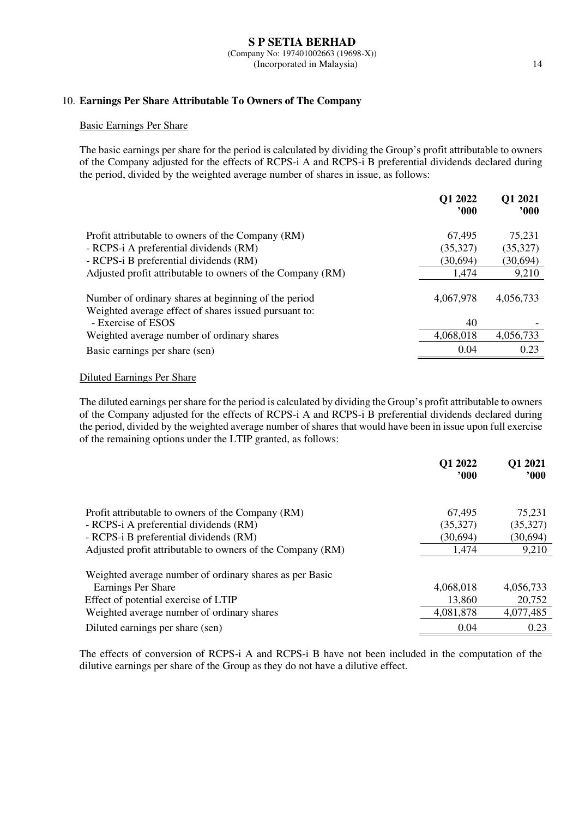## 10. **Earnings Per Share Attributable To Owners of The Company**

### Basic Earnings Per Share

The basic earnings per share for the period is calculated by dividing the Group's profit attributable to owners of the Company adjusted for the effects of RCPS-i A and RCPS-i B preferential dividends declared during the period, divided by the weighted average number of shares in issue, as follows:

|                                                                                                               | Q1 2022<br>000 | Q1 2021<br>900 |
|---------------------------------------------------------------------------------------------------------------|----------------|----------------|
| Profit attributable to owners of the Company (RM)                                                             | 67,495         | 75,231         |
| - RCPS-i A preferential dividends (RM)                                                                        | (35,327)       | (35,327)       |
| - RCPS-i B preferential dividends (RM)                                                                        | (30,694)       | (30,694)       |
| Adjusted profit attributable to owners of the Company (RM)                                                    | 1,474          | 9,210          |
| Number of ordinary shares at beginning of the period<br>Weighted average effect of shares issued pursuant to: | 4,067,978      | 4,056,733      |
| - Exercise of ESOS                                                                                            | 40             |                |
| Weighted average number of ordinary shares                                                                    | 4,068,018      | 4,056,733      |
| Basic earnings per share (sen)                                                                                | 0.04           | 0.23           |

# Diluted Earnings Per Share

The diluted earnings per share for the period is calculated by dividing the Group's profit attributable to owners of the Company adjusted for the effects of RCPS-i A and RCPS-i B preferential dividends declared during the period, divided by the weighted average number of shares that would have been in issue upon full exercise of the remaining options under the LTIP granted, as follows:

|                                                            | Q1 2022<br>$900^\circ$ | Q1 2021<br>$^{\prime}000$ |
|------------------------------------------------------------|------------------------|---------------------------|
|                                                            |                        |                           |
| Profit attributable to owners of the Company (RM)          | 67,495                 | 75,231                    |
| - RCPS-i A preferential dividends (RM)                     | (35,327)               | (35,327)                  |
| - RCPS-i B preferential dividends (RM)                     | (30,694)               | (30,694)                  |
| Adjusted profit attributable to owners of the Company (RM) | 1,474                  | 9,210                     |
| Weighted average number of ordinary shares as per Basic    |                        |                           |
| Earnings Per Share                                         | 4,068,018              | 4,056,733                 |
| Effect of potential exercise of LTIP                       | 13,860                 | 20,752                    |
| Weighted average number of ordinary shares                 | 4,081,878              | 4,077,485                 |
| Diluted earnings per share (sen)                           | 0.04                   | 0.23                      |

The effects of conversion of RCPS-i A and RCPS-i B have not been included in the computation of the dilutive earnings per share of the Group as they do not have a dilutive effect.